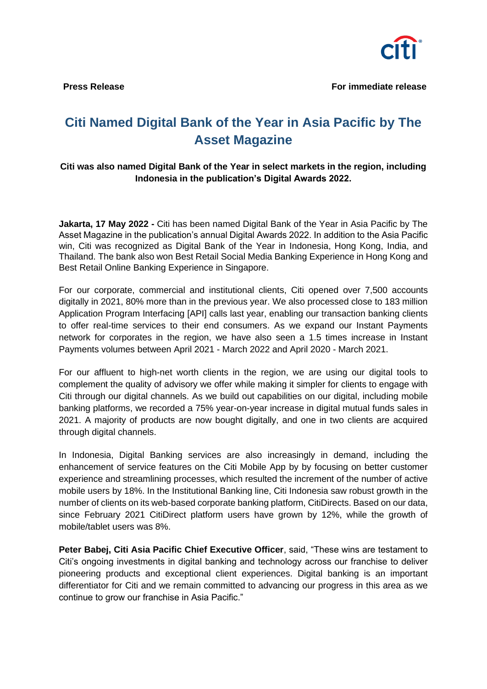

## **Citi Named Digital Bank of the Year in Asia Pacific by The Asset Magazine**

## **Citi was also named Digital Bank of the Year in select markets in the region, including Indonesia in the publication's Digital Awards 2022.**

**Jakarta, 17 May 2022 -** Citi has been named Digital Bank of the Year in Asia Pacific by The Asset Magazine in the publication's annual Digital Awards 2022. In addition to the Asia Pacific win, Citi was recognized as Digital Bank of the Year in Indonesia, Hong Kong, India, and Thailand. The bank also won Best Retail Social Media Banking Experience in Hong Kong and Best Retail Online Banking Experience in Singapore.

For our corporate, commercial and institutional clients, Citi opened over 7,500 accounts digitally in 2021, 80% more than in the previous year. We also processed close to 183 million Application Program Interfacing [API] calls last year, enabling our transaction banking clients to offer real-time services to their end consumers. As we expand our Instant Payments network for corporates in the region, we have also seen a 1.5 times increase in Instant Payments volumes between April 2021 - March 2022 and April 2020 - March 2021.

For our affluent to high-net worth clients in the region, we are using our digital tools to complement the quality of advisory we offer while making it simpler for clients to engage with Citi through our digital channels. As we build out capabilities on our digital, including mobile banking platforms, we recorded a 75% year-on-year increase in digital mutual funds sales in 2021. A majority of products are now bought digitally, and one in two clients are acquired through digital channels.

In Indonesia, Digital Banking services are also increasingly in demand, including the enhancement of service features on the Citi Mobile App by by focusing on better customer experience and streamlining processes, which resulted the increment of the number of active mobile users by 18%. In the Institutional Banking line, Citi Indonesia saw robust growth in the number of clients on its web-based corporate banking platform, CitiDirects. Based on our data, since February 2021 CitiDirect platform users have grown by 12%, while the growth of mobile/tablet users was 8%.

**Peter Babej, Citi Asia Pacific Chief Executive Officer**, said, "These wins are testament to Citi's ongoing investments in digital banking and technology across our franchise to deliver pioneering products and exceptional client experiences. Digital banking is an important differentiator for Citi and we remain committed to advancing our progress in this area as we continue to grow our franchise in Asia Pacific."